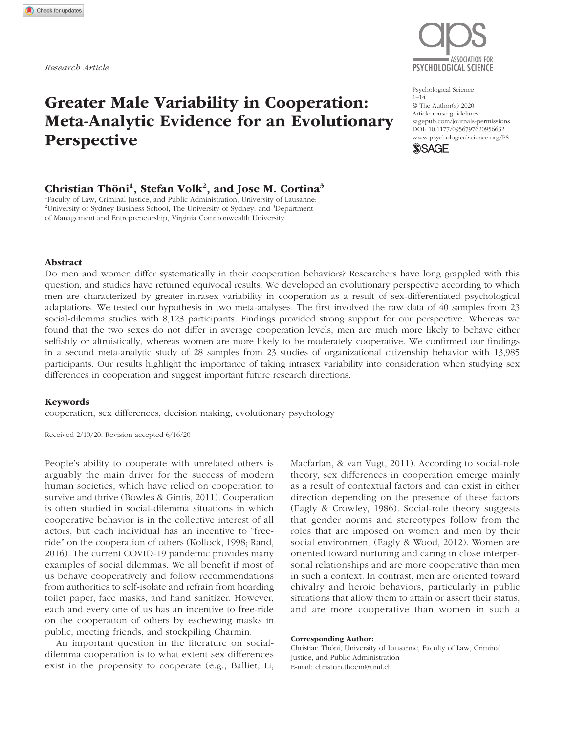# Greater Male Variability in Cooperation: Meta-Analytic Evidence for an Evolutionary **Perspective**

# ASSOCIATION FOR *Research Article* PSYCHOLOGICAL SCIENCE

Psychological Science 1–14 © The Author(s) 2020 Article reuse guidelines: [sagepub.com/journals-permissions](https://us.sagepub.com/en-us/journals-permissions) DOI: 10.1177/0956797620956632 [www.psychologicalscience.org/PS](http://www.psychologicalscience.org/ps) **SSAGE** 



# Christian Thöni<sup>1</sup>, Stefan Volk<sup>2</sup>, and Jose M. Cortina<sup>3</sup>

1 Faculty of Law, Criminal Justice, and Public Administration, University of Lausanne; <sup>2</sup>University of Sydney Business School, The University of Sydney; and <sup>3</sup>Department of Management and Entrepreneurship, Virginia Commonwealth University

#### Abstract

Do men and women differ systematically in their cooperation behaviors? Researchers have long grappled with this question, and studies have returned equivocal results. We developed an evolutionary perspective according to which men are characterized by greater intrasex variability in cooperation as a result of sex-differentiated psychological adaptations. We tested our hypothesis in two meta-analyses. The first involved the raw data of 40 samples from 23 social-dilemma studies with 8,123 participants. Findings provided strong support for our perspective. Whereas we found that the two sexes do not differ in average cooperation levels, men are much more likely to behave either selfishly or altruistically, whereas women are more likely to be moderately cooperative. We confirmed our findings in a second meta-analytic study of 28 samples from 23 studies of organizational citizenship behavior with 13,985 participants. Our results highlight the importance of taking intrasex variability into consideration when studying sex differences in cooperation and suggest important future research directions.

#### Keywords

cooperation, sex differences, decision making, evolutionary psychology

Received 2/10/20; Revision accepted 6/16/20

People's ability to cooperate with unrelated others is arguably the main driver for the success of modern human societies, which have relied on cooperation to survive and thrive (Bowles & Gintis, 2011). Cooperation is often studied in social-dilemma situations in which cooperative behavior is in the collective interest of all actors, but each individual has an incentive to "freeride" on the cooperation of others (Kollock, 1998; Rand, 2016). The current COVID-19 pandemic provides many examples of social dilemmas. We all benefit if most of us behave cooperatively and follow recommendations from authorities to self-isolate and refrain from hoarding toilet paper, face masks, and hand sanitizer. However, each and every one of us has an incentive to free-ride on the cooperation of others by eschewing masks in public, meeting friends, and stockpiling Charmin.

An important question in the literature on socialdilemma cooperation is to what extent sex differences exist in the propensity to cooperate (e.g., Balliet, Li, Macfarlan, & van Vugt, 2011). According to social-role theory, sex differences in cooperation emerge mainly as a result of contextual factors and can exist in either direction depending on the presence of these factors (Eagly & Crowley, 1986). Social-role theory suggests that gender norms and stereotypes follow from the roles that are imposed on women and men by their social environment (Eagly & Wood, 2012). Women are oriented toward nurturing and caring in close interpersonal relationships and are more cooperative than men in such a context. In contrast, men are oriented toward chivalry and heroic behaviors, particularly in public situations that allow them to attain or assert their status, and are more cooperative than women in such a

Christian Thöni, University of Lausanne, Faculty of Law, Criminal Justice, and Public Administration E-mail: [christian.thoeni@unil.ch](mailto:christian.thoeni@unil.ch)

Corresponding Author: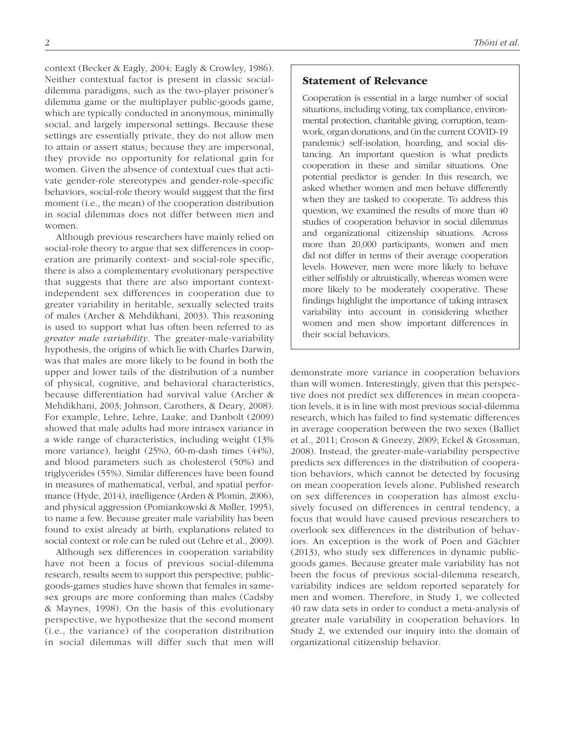context (Becker & Eagly, 2004; Eagly & Crowley, 1986). Neither contextual factor is present in classic socialdilemma paradigms, such as the two-player prisoner's dilemma game or the multiplayer public-goods game, which are typically conducted in anonymous, minimally social, and largely impersonal settings. Because these settings are essentially private, they do not allow men to attain or assert status; because they are impersonal, they provide no opportunity for relational gain for women. Given the absence of contextual cues that activate gender-role stereotypes and gender-role-specific behaviors, social-role theory would suggest that the first moment (i.e., the mean) of the cooperation distribution in social dilemmas does not differ between men and women.

Although previous researchers have mainly relied on social-role theory to argue that sex differences in cooperation are primarily context- and social-role specific, there is also a complementary evolutionary perspective that suggests that there are also important contextindependent sex differences in cooperation due to greater variability in heritable, sexually selected traits of males (Archer & Mehdikhani, 2003). This reasoning is used to support what has often been referred to as *greater male variability*. The greater-male-variability hypothesis, the origins of which lie with Charles Darwin, was that males are more likely to be found in both the upper and lower tails of the distribution of a number of physical, cognitive, and behavioral characteristics, because differentiation had survival value (Archer & Mehdikhani, 2003; Johnson, Carothers, & Deary, 2008). For example, Lehre, Lehre, Laake, and Danbolt (2009) showed that male adults had more intrasex variance in a wide range of characteristics, including weight (13% more variance), height (25%), 60-m-dash times (44%), and blood parameters such as cholesterol (50%) and triglycerides (55%). Similar differences have been found in measures of mathematical, verbal, and spatial performance (Hyde, 2014), intelligence (Arden & Plomin, 2006), and physical aggression (Pomiankowski & Møller, 1995), to name a few. Because greater male variability has been found to exist already at birth, explanations related to social context or role can be ruled out (Lehre et al., 2009).

Although sex differences in cooperation variability have not been a focus of previous social-dilemma research, results seem to support this perspective; publicgoods-games studies have shown that females in samesex groups are more conforming than males (Cadsby & Maynes, 1998). On the basis of this evolutionary perspective, we hypothesize that the second moment (i.e., the variance) of the cooperation distribution in social dilemmas will differ such that men will Statement of Relevance

Cooperation is essential in a large number of social situations, including voting, tax compliance, environmental protection, charitable giving, corruption, teamwork, organ donations, and (in the current COVID-19 pandemic) self-isolation, hoarding, and social distancing. An important question is what predicts cooperation in these and similar situations. One potential predictor is gender. In this research, we asked whether women and men behave differently when they are tasked to cooperate. To address this question, we examined the results of more than 40 studies of cooperation behavior in social dilemmas and organizational citizenship situations. Across more than 20,000 participants, women and men did not differ in terms of their average cooperation levels. However, men were more likely to behave either selfishly or altruistically, whereas women were more likely to be moderately cooperative. These findings highlight the importance of taking intrasex variability into account in considering whether women and men show important differences in their social behaviors.

demonstrate more variance in cooperation behaviors than will women. Interestingly, given that this perspective does not predict sex differences in mean cooperation levels, it is in line with most previous social-dilemma research, which has failed to find systematic differences in average cooperation between the two sexes (Balliet et al., 2011; Croson & Gneezy, 2009; Eckel & Grossman, 2008). Instead, the greater-male-variability perspective predicts sex differences in the distribution of cooperation behaviors, which cannot be detected by focusing on mean cooperation levels alone. Published research on sex differences in cooperation has almost exclusively focused on differences in central tendency, a focus that would have caused previous researchers to overlook sex differences in the distribution of behaviors. An exception is the work of Poen and Gächter (2013), who study sex differences in dynamic publicgoods games. Because greater male variability has not been the focus of previous social-dilemma research, variability indices are seldom reported separately for men and women. Therefore, in Study 1, we collected 40 raw data sets in order to conduct a meta-analysis of greater male variability in cooperation behaviors. In Study 2, we extended our inquiry into the domain of organizational citizenship behavior.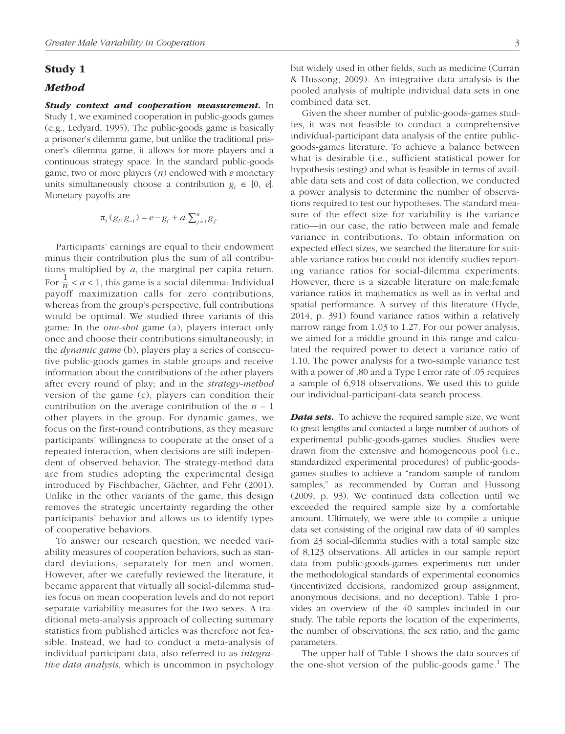# Study 1

#### *Method*

*Study context and cooperation measurement.* In Study 1, we examined cooperation in public-goods games (e.g., Ledyard, 1995). The public-goods game is basically a prisoner's dilemma game, but unlike the traditional prisoner's dilemma game, it allows for more players and a continuous strategy space. In the standard public-goods game, two or more players (*n*) endowed with *e* monetary units simultaneously choose a contribution  $g_i \in [0, e]$ . Monetary payoffs are

$$
\pi_i(g_i, g_{-i}) = e - g_i + a \sum_{j=1}^n g_j.
$$

Participants' earnings are equal to their endowment minus their contribution plus the sum of all contributions multiplied by *a*, the marginal per capita return. For  $\frac{1}{n} < a < 1$ , this game is a social dilemma: Individual payoff maximization calls for zero contributions, whereas from the group's perspective, full contributions would be optimal. We studied three variants of this game: In the *one-shot* game (a), players interact only once and choose their contributions simultaneously; in the *dynamic game* (b), players play a series of consecutive public-goods games in stable groups and receive information about the contributions of the other players after every round of play; and in the *strategy-method* version of the game (c), players can condition their contribution on the average contribution of the  $n - 1$ other players in the group. For dynamic games, we focus on the first-round contributions, as they measure participants' willingness to cooperate at the onset of a repeated interaction, when decisions are still independent of observed behavior. The strategy-method data are from studies adopting the experimental design introduced by Fischbacher, Gächter, and Fehr (2001). Unlike in the other variants of the game, this design removes the strategic uncertainty regarding the other participants' behavior and allows us to identify types of cooperative behaviors.

To answer our research question, we needed variability measures of cooperation behaviors, such as standard deviations, separately for men and women. However, after we carefully reviewed the literature, it became apparent that virtually all social-dilemma studies focus on mean cooperation levels and do not report separate variability measures for the two sexes. A traditional meta-analysis approach of collecting summary statistics from published articles was therefore not feasible. Instead, we had to conduct a meta-analysis of individual participant data, also referred to as *integrative data analysis*, which is uncommon in psychology but widely used in other fields, such as medicine (Curran & Hussong, 2009). An integrative data analysis is the pooled analysis of multiple individual data sets in one combined data set.

Given the sheer number of public-goods-games studies, it was not feasible to conduct a comprehensive individual-participant data analysis of the entire publicgoods-games literature. To achieve a balance between what is desirable (i.e., sufficient statistical power for hypothesis testing) and what is feasible in terms of available data sets and cost of data collection, we conducted a power analysis to determine the number of observations required to test our hypotheses. The standard measure of the effect size for variability is the variance ratio—in our case, the ratio between male and female variance in contributions. To obtain information on expected effect sizes, we searched the literature for suitable variance ratios but could not identify studies reporting variance ratios for social-dilemma experiments. However, there is a sizeable literature on male:female variance ratios in mathematics as well as in verbal and spatial performance. A survey of this literature (Hyde, 2014, p. 391) found variance ratios within a relatively narrow range from 1.03 to 1.27. For our power analysis, we aimed for a middle ground in this range and calculated the required power to detect a variance ratio of 1.10. The power analysis for a two-sample variance test with a power of .80 and a Type I error rate of .05 requires a sample of 6,918 observations. We used this to guide our individual-participant-data search process.

*Data sets.* To achieve the required sample size, we went to great lengths and contacted a large number of authors of experimental public-goods-games studies. Studies were drawn from the extensive and homogeneous pool (i.e., standardized experimental procedures) of public-goodsgames studies to achieve a "random sample of random samples," as recommended by Curran and Hussong (2009, p. 93). We continued data collection until we exceeded the required sample size by a comfortable amount. Ultimately, we were able to compile a unique data set consisting of the original raw data of 40 samples from 23 social-dilemma studies with a total sample size of 8,123 observations. All articles in our sample report data from public-goods-games experiments run under the methodological standards of experimental economics (incentivized decisions, randomized group assignment, anonymous decisions, and no deception). Table 1 provides an overview of the 40 samples included in our study. The table reports the location of the experiments, the number of observations, the sex ratio, and the game parameters.

The upper half of Table 1 shows the data sources of the one-shot version of the public-goods game.<sup>1</sup> The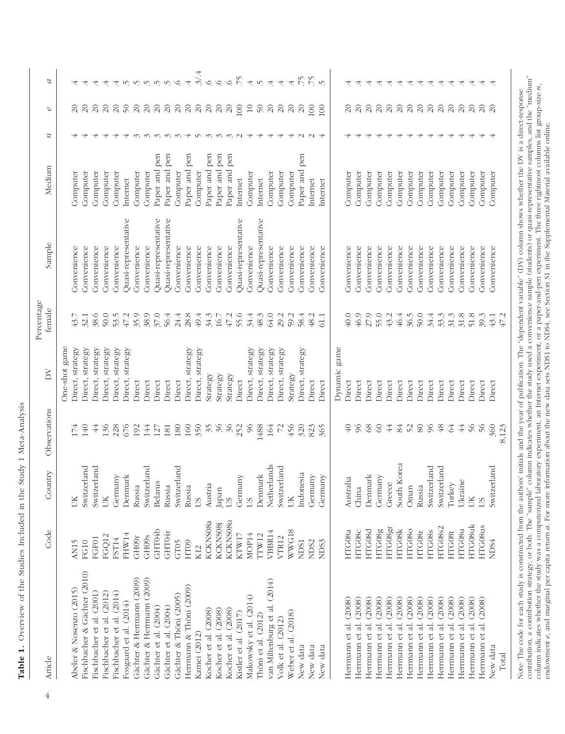| Article                                                                                                                                                                                                                                           | Code              | Country     | Observations               | δY                  | Percentage<br>female | Sample                                                                                                                    | Medium           | $\boldsymbol{z}$         | P                        | $\mathcal{L}$                                                                                                    |
|---------------------------------------------------------------------------------------------------------------------------------------------------------------------------------------------------------------------------------------------------|-------------------|-------------|----------------------------|---------------------|----------------------|---------------------------------------------------------------------------------------------------------------------------|------------------|--------------------------|--------------------------|------------------------------------------------------------------------------------------------------------------|
|                                                                                                                                                                                                                                                   |                   |             |                            | One-shot game       |                      |                                                                                                                           |                  |                          |                          |                                                                                                                  |
| Abeler & Nosenzo (2015)                                                                                                                                                                                                                           | AN15              | UK          | 174                        | Direct, strategy    | 43.7                 | Convenience                                                                                                               | Computer         |                          |                          |                                                                                                                  |
| Fischbacher & Gächter (2010)                                                                                                                                                                                                                      | FG10              | Switzerland | 140                        | Direct, strategy    | 32.1                 | Convenience                                                                                                               | Computer         |                          |                          |                                                                                                                  |
| Fischbacher et al. (2001)                                                                                                                                                                                                                         | FGF01             | Switzerland | $\ddot{4}$                 | Direct, strategy    | 38.6                 | Convenience                                                                                                               | Computer         | $\overline{\phantom{a}}$ | $\Omega$                 | $\overline{4}$                                                                                                   |
| Fischbacher et al. (2012)                                                                                                                                                                                                                         | FGQ12             | ŠЮ          | 136                        | strategy<br>Direct, | 50.0                 | Convenience                                                                                                               | Computer         |                          | $\Omega$                 | 4                                                                                                                |
| Fischbacher et al. (2014)                                                                                                                                                                                                                         | FST14             | Germany     | 228                        | Direct, strategy    | 53.5                 | Convenience                                                                                                               | Computer         |                          |                          | 4                                                                                                                |
| Fosgaard et al. $(2014)$                                                                                                                                                                                                                          | FHW14             | Denmark     | 676                        | strategy<br>Direct, | $47.2$               | Quasi-representative                                                                                                      | Internet         |                          |                          |                                                                                                                  |
| Gächter & Herrmann (2009)                                                                                                                                                                                                                         | GH09r             | Russia      | 192                        | Direct              | 35.9                 | Convenience                                                                                                               | Computer         |                          |                          |                                                                                                                  |
| Gächter & Herrmann (2009)                                                                                                                                                                                                                         | GH <sub>09s</sub> | Switzerland | 144                        | Direct              | 38.9                 | Convenience                                                                                                               | Computer         |                          | ននននន                    | $\begin{array}{c} \mathcal{N} & \mathcal{N} & \mathcal{N} & \mathcal{N} & \mathcal{N} & \mathcal{N} \end{array}$ |
| Gächter et al. (2004)                                                                                                                                                                                                                             | GHT04b            | Belarus     | 127                        | Direct              | 37.0                 | Quasi-representative                                                                                                      | pen<br>Paper and | $\infty$                 |                          |                                                                                                                  |
| Gächter et al. (2004)                                                                                                                                                                                                                             | GHT04r            | Russia      | 181                        | Direct              | 56.4                 | Quasi-representative                                                                                                      | pen<br>Paper and | $\sim$                   |                          |                                                                                                                  |
| Gächter & Thöni (2005)                                                                                                                                                                                                                            | GT05              | Switzerland | 180                        | Direct              | 24.4                 | Convenience                                                                                                               | Computer         | $\infty$                 | $\overline{\mathcal{L}}$ |                                                                                                                  |
| Herrnann & Thöni (2009)                                                                                                                                                                                                                           | HT <sub>09</sub>  | Russia      | 160                        | Direct, strategy    | 28.8                 | Convenience                                                                                                               | pen<br>Paper and | $\overline{4}$           | $\Omega$                 | $\overline{4}$                                                                                                   |
| Kamei (2012)                                                                                                                                                                                                                                      | K12               | SU          | 350                        | Direct, strategy    | 49.4                 | Convenience                                                                                                               | Computer         | $\sqrt{ }$               | $\Omega$                 | 3/4                                                                                                              |
| Kocher et al. (2008)                                                                                                                                                                                                                              | KCKNS08a          | Austria     | 35                         | Strategy            | 34.3                 | Convenience                                                                                                               | pen<br>Paper and | $\sim$                   | $\Omega$                 | $\circ$                                                                                                          |
| Kocher et al. (2008)                                                                                                                                                                                                                              | <b>KCKNS08j</b>   | Japan       | 36                         | Strategy            | 16.7                 | Convenience                                                                                                               | Paper and pen    | $\infty$                 | $\Omega$                 | $\circ$                                                                                                          |
| Kocher et al. (2008)                                                                                                                                                                                                                              | <b>KCKNS08u</b>   | SU          | 36                         | Strategy            | 47.2                 | Convenience                                                                                                               | pen<br>Paper and | $\sim$                   | $20\,$                   |                                                                                                                  |
| Kistler et al. (2017)                                                                                                                                                                                                                             | KTW17             | Germany     | 252                        | Direct              | 55.6                 | Quasi-representative                                                                                                      | Internet         |                          | 100                      | 6.74.04                                                                                                          |
| Makowsky et al. (2014)                                                                                                                                                                                                                            | MOP14             | SU          | $\infty$                   | Direct, strategy    | 34.4                 | Convenience                                                                                                               | Computer         | 4                        | 10                       |                                                                                                                  |
| Thöni et al. (2012)                                                                                                                                                                                                                               | TTW12             | Denmark     | 1488                       | Direct, strategy    | 48.3                 | Quasi-representative                                                                                                      | Internet         |                          | $\sqrt{2}$               |                                                                                                                  |
| van Miltenburg et al. (2014)                                                                                                                                                                                                                      | VBBR14            | Netherlands | 164                        | Direct, strategy    | 64.0                 | Convenience                                                                                                               | Computer         |                          | $\overline{c}$           |                                                                                                                  |
| Volk et al. (2012)                                                                                                                                                                                                                                | VTR12             | Switzerland | $\overline{z}$             | Direct, strategy    | 29.2                 | Convenience                                                                                                               | Computer         |                          | $\overline{c}$           | $\overline{4}$                                                                                                   |
| Weber et al. (2018)                                                                                                                                                                                                                               | WWG18             | ŬК          | 456                        | Strategy            | 59.2                 | Convenience                                                                                                               | Computer         |                          | $\overline{c}$           | $\overline{4}$                                                                                                   |
| New data                                                                                                                                                                                                                                          | NDS1              | Indonesia   | 320                        | Direct, strategy    | 58.4                 | Convenience                                                                                                               | Paper and pen    |                          | $\Omega$                 |                                                                                                                  |
| New data                                                                                                                                                                                                                                          | ND <sub>S2</sub>  | Germany     | 823                        | Direct              | 48.2                 | Convenience                                                                                                               | Internet         |                          | 100                      |                                                                                                                  |
| New data                                                                                                                                                                                                                                          | NDS3              | Germany     | 365                        | Direct              | 61.1                 | Convenience                                                                                                               | Internet         |                          | 100                      | 75                                                                                                               |
|                                                                                                                                                                                                                                                   |                   |             |                            |                     |                      |                                                                                                                           |                  |                          |                          |                                                                                                                  |
|                                                                                                                                                                                                                                                   |                   |             |                            | game<br>Dynamic     |                      |                                                                                                                           |                  |                          |                          |                                                                                                                  |
| (2008)<br>Herrmann et al.                                                                                                                                                                                                                         | HTG08a            | Australia   | $\mathcal{L}_{\mathrm{0}}$ | Direct              | 40.0                 | Convenience                                                                                                               | Computer         |                          | $\Omega$                 |                                                                                                                  |
| (2008)<br>Herrmann et al.                                                                                                                                                                                                                         | HTG08c            | China       | 86                         | Direct              | 46.9                 | Convenience                                                                                                               | Computer         |                          |                          | 4                                                                                                                |
| (2008)<br>Herrmann et al.                                                                                                                                                                                                                         | HTG08d            | Denmark     | 8 <sup>o</sup>             | Direct              | 27.9                 | Convenience                                                                                                               | Computer         |                          | $\Omega$                 | 4                                                                                                                |
| (2008)<br>Herrmann et al.                                                                                                                                                                                                                         | HTG08g            | Germany     | $\infty$                   | Direct              | 55.0                 | Convenience                                                                                                               | Computer         |                          | $\Omega$                 | 4                                                                                                                |
| (2008)<br>Herrmann et al.                                                                                                                                                                                                                         | HTG08gr           | Greece      | 44                         | Direct              | 43.2                 | Convenience                                                                                                               | Computer         |                          | $\Omega$                 | 4                                                                                                                |
| (2008)<br>Herrmann et al.                                                                                                                                                                                                                         | <b>HTG08k</b>     | South Korea | 84                         | Direct              | 46.4                 | Convenience                                                                                                               | Computer         |                          |                          | 4                                                                                                                |
| (2008)<br>Herrmann et al.                                                                                                                                                                                                                         | HTG080            | Oman        | 52                         | Direct              | 36.5                 | Convenience                                                                                                               | Computer         |                          |                          | 4                                                                                                                |
| (2008)<br>Herrmann et al.                                                                                                                                                                                                                         | HTG08r            | Russia      | $80\,$                     | Direct              | 50.0                 | Convenience                                                                                                               | Computer         |                          |                          | 4                                                                                                                |
| (2008)<br>Herrmann et al.                                                                                                                                                                                                                         | HTG08s            | Switzerland | $\delta$                   | Direct              | 34.4                 | Convenience                                                                                                               | Computer         |                          | $8888888$                | 4                                                                                                                |
| (2008)<br>Herrmann et al.                                                                                                                                                                                                                         | HTG08s2           | Switzerland | $48$                       | Direct              | 33.3                 | Convenience                                                                                                               | Computer         |                          |                          | 4                                                                                                                |
| (2008)<br>Herrmann et al.                                                                                                                                                                                                                         | HTG08t            | Turkey      | F                          | Direct              | 31.3                 | Convenience                                                                                                               | Computer         |                          |                          | 4                                                                                                                |
| (2008)<br>Herrmann et al.                                                                                                                                                                                                                         | HTG08u            | Ukraine     | 44                         | Direct              | 31.8                 | Convenience                                                                                                               | Computer         |                          | $\Omega$                 | 4                                                                                                                |
| (2008)<br>Herrmann et al.                                                                                                                                                                                                                         | <b>HTG08uk</b>    | UK          | $\frac{2}{5}$              | Direct              | 51.8                 | Convenience                                                                                                               | Computer         |                          | $\Omega$                 | 4                                                                                                                |
| (2008)<br>Herrmann et al.                                                                                                                                                                                                                         | HTG08us           | SU          | 56                         | Direct              | 39.3                 | Convenience                                                                                                               | Computer         |                          | $\frac{20}{20}$          | 4                                                                                                                |
| New data                                                                                                                                                                                                                                          | NDS4              | Switzerland | 360                        | Direct              | 43.1                 | Convenience                                                                                                               | Computer         |                          |                          | $\overline{4}$                                                                                                   |
| Total                                                                                                                                                                                                                                             |                   |             | 8,123                      |                     | 47.2                 |                                                                                                                           |                  |                          |                          |                                                                                                                  |
|                                                                                                                                                                                                                                                   |                   |             |                            |                     |                      |                                                                                                                           |                  |                          |                          |                                                                                                                  |
| Note: The code for each study is constructed from the authors' initials and the year of publication. The "dependent variable" (DV) column shows whether the DV is a direct-response                                                               |                   |             |                            |                     |                      | column indicates whether the study used a convenience sample (students) or quasi-representative samples, and the "medium" |                  |                          |                          |                                                                                                                  |
| column indicates whether the study was a computerized laboratory experiment, an Internet experiment, or a paper-and-pen experiment. The three rightmost columns list group-size n<br>contribution, a contribution strategy, or both. The "sample" |                   |             |                            |                     |                      |                                                                                                                           |                  |                          |                          |                                                                                                                  |
| endowment e, and marginal per capita return a. For more information about the new data sets NDS1 to NDS4, see Section S1 in the Supplemental Material available online.                                                                           |                   |             |                            |                     |                      |                                                                                                                           |                  |                          |                          |                                                                                                                  |

Table 1. Overview of the Studies Included in the Study 1 Meta-Analysis Table 1. Overview of the Studies Included in the Study 1 Meta-Analysis

4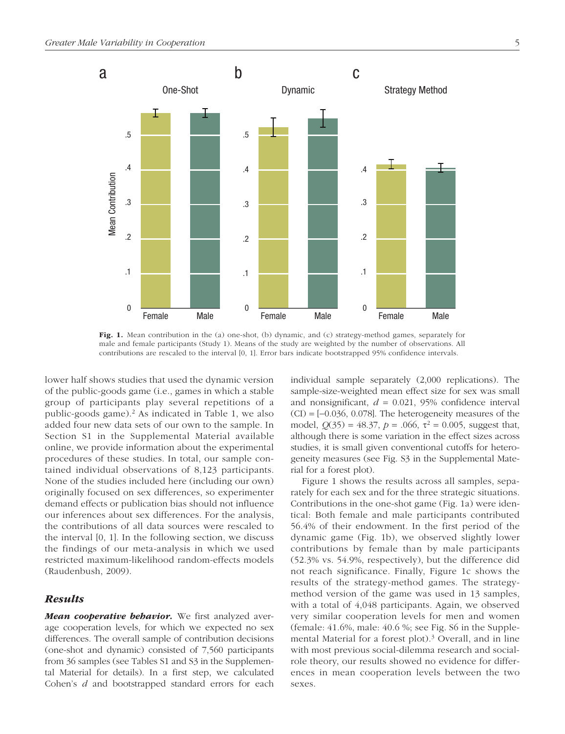

Fig. 1. Mean contribution in the (a) one-shot, (b) dynamic, and (c) strategy-method games, separately for male and female participants (Study 1). Means of the study are weighted by the number of observations. All contributions are rescaled to the interval [0, 1]. Error bars indicate bootstrapped 95% confidence intervals.

lower half shows studies that used the dynamic version of the public-goods game (i.e., games in which a stable group of participants play several repetitions of a public-goods game).<sup>2</sup> As indicated in Table 1, we also added four new data sets of our own to the sample. In Section S1 in the Supplemental Material available online, we provide information about the experimental procedures of these studies. In total, our sample contained individual observations of 8,123 participants. None of the studies included here (including our own) originally focused on sex differences, so experimenter demand effects or publication bias should not influence our inferences about sex differences. For the analysis, the contributions of all data sources were rescaled to the interval [0, 1]. In the following section, we discuss the findings of our meta-analysis in which we used restricted maximum-likelihood random-effects models (Raudenbush, 2009).

# *Results*

*Mean cooperative behavior.* We first analyzed average cooperation levels, for which we expected no sex differences. The overall sample of contribution decisions (one-shot and dynamic) consisted of 7,560 participants from 36 samples (see Tables S1 and S3 in the Supplemental Material for details). In a first step, we calculated Cohen's *d* and bootstrapped standard errors for each individual sample separately (2,000 replications). The sample-size-weighted mean effect size for sex was small and nonsignificant, *d* = 0.021, 95% confidence interval  $(CI) = [-0.036, 0.078]$ . The heterogeneity measures of the model,  $Q(35) = 48.37$ ,  $p = .066$ ,  $\tau^2 = 0.005$ , suggest that, although there is some variation in the effect sizes across studies, it is small given conventional cutoffs for heterogeneity measures (see Fig. S3 in the Supplemental Material for a forest plot).

Figure 1 shows the results across all samples, separately for each sex and for the three strategic situations. Contributions in the one-shot game (Fig. 1a) were identical: Both female and male participants contributed 56.4% of their endowment. In the first period of the dynamic game (Fig. 1b), we observed slightly lower contributions by female than by male participants (52.3% vs. 54.9%, respectively), but the difference did not reach significance. Finally, Figure 1c shows the results of the strategy-method games. The strategymethod version of the game was used in 13 samples, with a total of 4,048 participants. Again, we observed very similar cooperation levels for men and women (female: 41.6%, male: 40.6 %; see Fig. S6 in the Supplemental Material for a forest plot).<sup>3</sup> Overall, and in line with most previous social-dilemma research and socialrole theory, our results showed no evidence for differences in mean cooperation levels between the two sexes.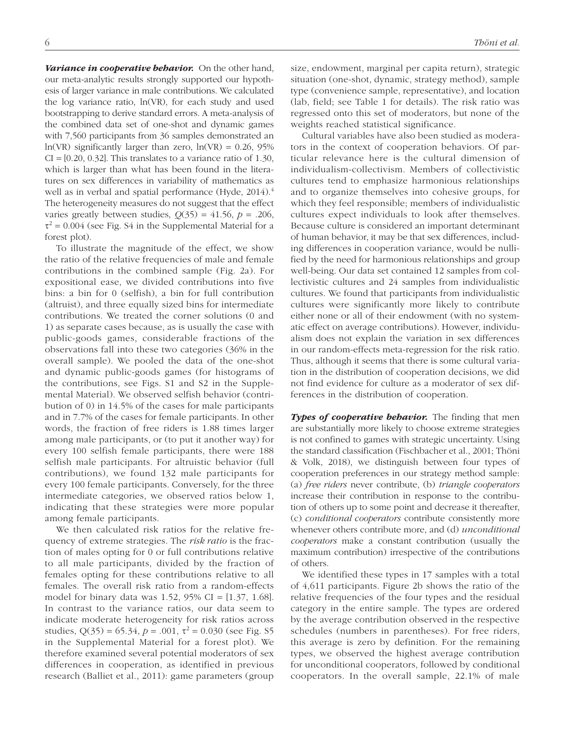*Variance in cooperative behavior.* On the other hand, our meta-analytic results strongly supported our hypothesis of larger variance in male contributions. We calculated the log variance ratio, ln(VR), for each study and used bootstrapping to derive standard errors. A meta-analysis of the combined data set of one-shot and dynamic games with 7,560 participants from 36 samples demonstrated an ln(VR) significantly larger than zero,  $ln(VR) = 0.26$ , 95%  $CI = [0.20, 0.32]$ . This translates to a variance ratio of 1.30, which is larger than what has been found in the literatures on sex differences in variability of mathematics as well as in verbal and spatial performance (Hyde, 2014).<sup>4</sup> The heterogeneity measures do not suggest that the effect varies greatly between studies,  $Q(35) = 41.56$ ,  $p = .206$ ,  $\tau^2$  = 0.004 (see Fig. S4 in the Supplemental Material for a forest plot).

To illustrate the magnitude of the effect, we show the ratio of the relative frequencies of male and female contributions in the combined sample (Fig. 2a). For expositional ease, we divided contributions into five bins: a bin for 0 (selfish), a bin for full contribution (altruist), and three equally sized bins for intermediate contributions. We treated the corner solutions (0 and 1) as separate cases because, as is usually the case with public-goods games, considerable fractions of the observations fall into these two categories (36% in the overall sample). We pooled the data of the one-shot and dynamic public-goods games (for histograms of the contributions, see Figs. S1 and S2 in the Supplemental Material). We observed selfish behavior (contribution of 0) in 14.5% of the cases for male participants and in 7.7% of the cases for female participants. In other words, the fraction of free riders is 1.88 times larger among male participants, or (to put it another way) for every 100 selfish female participants, there were 188 selfish male participants. For altruistic behavior (full contributions), we found 132 male participants for every 100 female participants. Conversely, for the three intermediate categories, we observed ratios below 1, indicating that these strategies were more popular among female participants.

We then calculated risk ratios for the relative frequency of extreme strategies. The *risk ratio* is the fraction of males opting for 0 or full contributions relative to all male participants, divided by the fraction of females opting for these contributions relative to all females. The overall risk ratio from a random-effects model for binary data was 1.52, 95% CI =  $[1.37, 1.68]$ . In contrast to the variance ratios, our data seem to indicate moderate heterogeneity for risk ratios across studies,  $Q(35) = 65.34$ ,  $p = .001$ ,  $\tau^2 = 0.030$  (see Fig. S5) in the Supplemental Material for a forest plot). We therefore examined several potential moderators of sex differences in cooperation, as identified in previous research (Balliet et al., 2011): game parameters (group

size, endowment, marginal per capita return), strategic situation (one-shot, dynamic, strategy method), sample type (convenience sample, representative), and location (lab, field; see Table 1 for details). The risk ratio was regressed onto this set of moderators, but none of the weights reached statistical significance.

Cultural variables have also been studied as moderators in the context of cooperation behaviors. Of particular relevance here is the cultural dimension of individualism-collectivism. Members of collectivistic cultures tend to emphasize harmonious relationships and to organize themselves into cohesive groups, for which they feel responsible; members of individualistic cultures expect individuals to look after themselves. Because culture is considered an important determinant of human behavior, it may be that sex differences, including differences in cooperation variance, would be nullified by the need for harmonious relationships and group well-being. Our data set contained 12 samples from collectivistic cultures and 24 samples from individualistic cultures. We found that participants from individualistic cultures were significantly more likely to contribute either none or all of their endowment (with no systematic effect on average contributions). However, individualism does not explain the variation in sex differences in our random-effects meta-regression for the risk ratio. Thus, although it seems that there is some cultural variation in the distribution of cooperation decisions, we did not find evidence for culture as a moderator of sex differences in the distribution of cooperation.

*Types of cooperative behavior.* The finding that men are substantially more likely to choose extreme strategies is not confined to games with strategic uncertainty. Using the standard classification (Fischbacher et al., 2001; Thöni & Volk, 2018), we distinguish between four types of cooperation preferences in our strategy method sample: (a) *free riders* never contribute, (b) *triangle cooperators* increase their contribution in response to the contribution of others up to some point and decrease it thereafter, (c) *conditional cooperators* contribute consistently more whenever others contribute more, and (d) *unconditional cooperators* make a constant contribution (usually the maximum contribution) irrespective of the contributions of others.

We identified these types in 17 samples with a total of 4,611 participants. Figure 2b shows the ratio of the relative frequencies of the four types and the residual category in the entire sample. The types are ordered by the average contribution observed in the respective schedules (numbers in parentheses). For free riders, this average is zero by definition. For the remaining types, we observed the highest average contribution for unconditional cooperators, followed by conditional cooperators. In the overall sample, 22.1% of male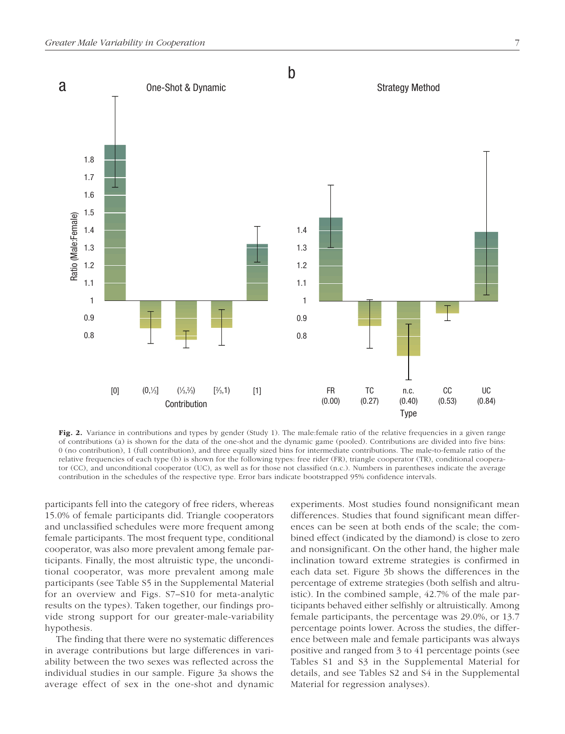

Fig. 2. Variance in contributions and types by gender (Study 1). The male:female ratio of the relative frequencies in a given range of contributions (a) is shown for the data of the one-shot and the dynamic game (pooled). Contributions are divided into five bins: 0 (no contribution), 1 (full contribution), and three equally sized bins for intermediate contributions. The male-to-female ratio of the relative frequencies of each type (b) is shown for the following types: free rider (FR), triangle cooperator (TR), conditional cooperator (CC), and unconditional cooperator (UC), as well as for those not classified (n.c.). Numbers in parentheses indicate the average contribution in the schedules of the respective type. Error bars indicate bootstrapped 95% confidence intervals.

participants fell into the category of free riders, whereas 15.0% of female participants did. Triangle cooperators and unclassified schedules were more frequent among female participants. The most frequent type, conditional cooperator, was also more prevalent among female participants. Finally, the most altruistic type, the unconditional cooperator, was more prevalent among male participants (see Table S5 in the Supplemental Material for an overview and Figs. S7–S10 for meta-analytic results on the types). Taken together, our findings provide strong support for our greater-male-variability hypothesis.

The finding that there were no systematic differences in average contributions but large differences in variability between the two sexes was reflected across the individual studies in our sample. Figure 3a shows the average effect of sex in the one-shot and dynamic experiments. Most studies found nonsignificant mean differences. Studies that found significant mean differences can be seen at both ends of the scale; the combined effect (indicated by the diamond) is close to zero and nonsignificant. On the other hand, the higher male inclination toward extreme strategies is confirmed in each data set. Figure 3b shows the differences in the percentage of extreme strategies (both selfish and altruistic). In the combined sample, 42.7% of the male participants behaved either selfishly or altruistically. Among female participants, the percentage was 29.0%, or 13.7 percentage points lower. Across the studies, the difference between male and female participants was always positive and ranged from 3 to 41 percentage points (see Tables S1 and S3 in the Supplemental Material for details, and see Tables S2 and S4 in the Supplemental Material for regression analyses).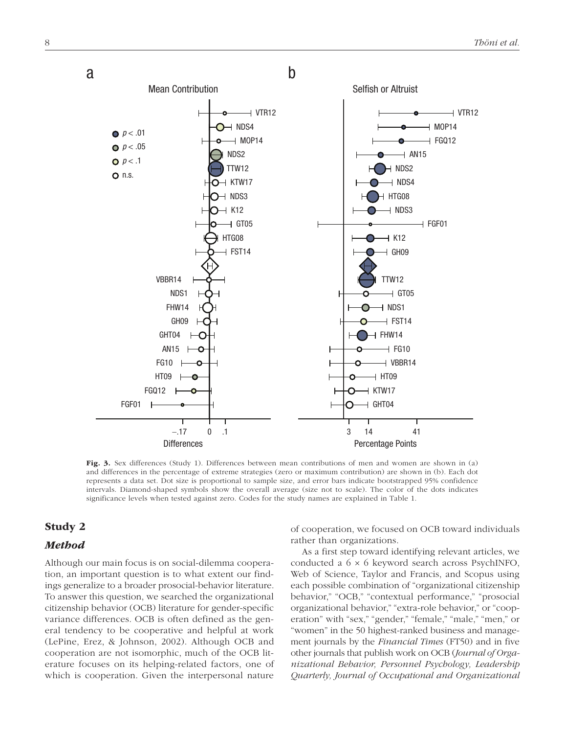

Fig. 3. Sex differences (Study 1). Differences between mean contributions of men and women are shown in (a) and differences in the percentage of extreme strategies (zero or maximum contribution) are shown in (b). Each dot represents a data set. Dot size is proportional to sample size, and error bars indicate bootstrapped 95% confidence intervals. Diamond-shaped symbols show the overall average (size not to scale). The color of the dots indicates significance levels when tested against zero. Codes for the study names are explained in Table 1.

# Study 2

# *Method*

Although our main focus is on social-dilemma cooperation, an important question is to what extent our findings generalize to a broader prosocial-behavior literature. To answer this question, we searched the organizational citizenship behavior (OCB) literature for gender-specific variance differences. OCB is often defined as the general tendency to be cooperative and helpful at work (LePine, Erez, & Johnson, 2002). Although OCB and cooperation are not isomorphic, much of the OCB literature focuses on its helping-related factors, one of which is cooperation. Given the interpersonal nature

of cooperation, we focused on OCB toward individuals rather than organizations.

As a first step toward identifying relevant articles, we conducted a 6 × 6 keyword search across PsychINFO, Web of Science, Taylor and Francis, and Scopus using each possible combination of "organizational citizenship behavior," "OCB," "contextual performance," "prosocial organizational behavior," "extra-role behavior," or "cooperation" with "sex," "gender," "female," "male," "men," or "women" in the 50 highest-ranked business and management journals by the *Financial Times* (FT50) and in five other journals that publish work on OCB (*Journal of Organizational Behavior, Personnel Psychology, Leadership Quarterly, Journal of Occupational and Organizational*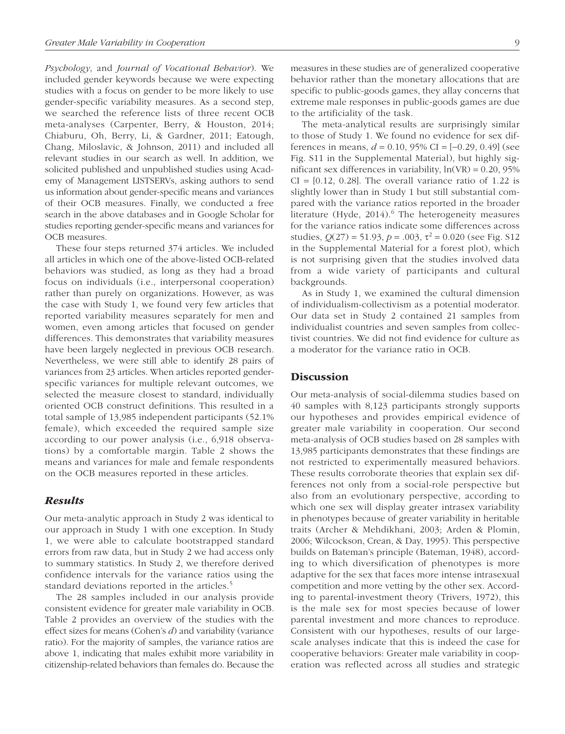*Psychology*, and *Journal of Vocational Behavior*). We included gender keywords because we were expecting studies with a focus on gender to be more likely to use gender-specific variability measures. As a second step, we searched the reference lists of three recent OCB meta-analyses (Carpenter, Berry, & Houston, 2014; Chiaburu, Oh, Berry, Li, & Gardner, 2011; Eatough, Chang, Miloslavic, & Johnson, 2011) and included all relevant studies in our search as well. In addition, we solicited published and unpublished studies using Academy of Management LISTSERVs, asking authors to send us information about gender-specific means and variances of their OCB measures. Finally, we conducted a free search in the above databases and in Google Scholar for studies reporting gender-specific means and variances for OCB measures.

These four steps returned 374 articles. We included all articles in which one of the above-listed OCB-related behaviors was studied, as long as they had a broad focus on individuals (i.e., interpersonal cooperation) rather than purely on organizations. However, as was the case with Study 1, we found very few articles that reported variability measures separately for men and women, even among articles that focused on gender differences. This demonstrates that variability measures have been largely neglected in previous OCB research. Nevertheless, we were still able to identify 28 pairs of variances from 23 articles. When articles reported genderspecific variances for multiple relevant outcomes, we selected the measure closest to standard, individually oriented OCB construct definitions. This resulted in a total sample of 13,985 independent participants (52.1% female), which exceeded the required sample size according to our power analysis (i.e., 6,918 observations) by a comfortable margin. Table 2 shows the means and variances for male and female respondents on the OCB measures reported in these articles.

# *Results*

Our meta-analytic approach in Study 2 was identical to our approach in Study 1 with one exception. In Study 1, we were able to calculate bootstrapped standard errors from raw data, but in Study 2 we had access only to summary statistics. In Study 2, we therefore derived confidence intervals for the variance ratios using the standard deviations reported in the articles.<sup>5</sup>

The 28 samples included in our analysis provide consistent evidence for greater male variability in OCB. Table 2 provides an overview of the studies with the effect sizes for means (Cohen's *d*) and variability (variance ratio). For the majority of samples, the variance ratios are above 1, indicating that males exhibit more variability in citizenship-related behaviors than females do. Because the measures in these studies are of generalized cooperative behavior rather than the monetary allocations that are specific to public-goods games, they allay concerns that extreme male responses in public-goods games are due to the artificiality of the task.

The meta-analytical results are surprisingly similar to those of Study 1. We found no evidence for sex differences in means, *d* = 0.10, 95% CI = [−0.29, 0.49] (see Fig. S11 in the Supplemental Material), but highly significant sex differences in variability,  $ln(VR) = 0.20, 95\%$  $CI = [0.12, 0.28]$ . The overall variance ratio of 1.22 is slightly lower than in Study 1 but still substantial compared with the variance ratios reported in the broader literature (Hyde,  $2014$ ).<sup>6</sup> The heterogeneity measures for the variance ratios indicate some differences across studies,  $Q(27) = 51.93$ ,  $p = .003$ ,  $\tau^2 = 0.020$  (see Fig. S12) in the Supplemental Material for a forest plot), which is not surprising given that the studies involved data from a wide variety of participants and cultural backgrounds.

As in Study 1, we examined the cultural dimension of individualism-collectivism as a potential moderator. Our data set in Study 2 contained 21 samples from individualist countries and seven samples from collectivist countries. We did not find evidence for culture as a moderator for the variance ratio in OCB.

# **Discussion**

Our meta-analysis of social-dilemma studies based on 40 samples with 8,123 participants strongly supports our hypotheses and provides empirical evidence of greater male variability in cooperation. Our second meta-analysis of OCB studies based on 28 samples with 13,985 participants demonstrates that these findings are not restricted to experimentally measured behaviors. These results corroborate theories that explain sex differences not only from a social-role perspective but also from an evolutionary perspective, according to which one sex will display greater intrasex variability in phenotypes because of greater variability in heritable traits (Archer & Mehdikhani, 2003; Arden & Plomin, 2006; Wilcockson, Crean, & Day, 1995). This perspective builds on Bateman's principle (Bateman, 1948), according to which diversification of phenotypes is more adaptive for the sex that faces more intense intrasexual competition and more vetting by the other sex. According to parental-investment theory (Trivers, 1972), this is the male sex for most species because of lower parental investment and more chances to reproduce. Consistent with our hypotheses, results of our largescale analyses indicate that this is indeed the case for cooperative behaviors: Greater male variability in cooperation was reflected across all studies and strategic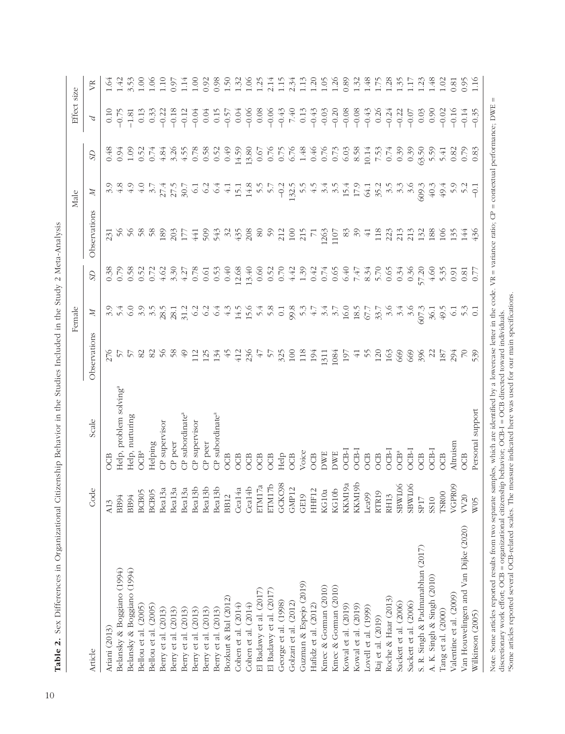|                                                                                                                                                                                                                                                                                                 |                    |                                                                                              |                 | Female          |                                                |                       | Male                     |                               | Effect size                |          |
|-------------------------------------------------------------------------------------------------------------------------------------------------------------------------------------------------------------------------------------------------------------------------------------------------|--------------------|----------------------------------------------------------------------------------------------|-----------------|-----------------|------------------------------------------------|-----------------------|--------------------------|-------------------------------|----------------------------|----------|
| Article                                                                                                                                                                                                                                                                                         | پ<br>Ğ             | Scale                                                                                        | Observations    | Ħ               | S <sub>D</sub>                                 | Observations          | Ħ                        | S                             | $\boldsymbol{\mathcal{L}}$ | <b>F</b> |
| Ariani (2013)                                                                                                                                                                                                                                                                                   | A13                | Ë                                                                                            | 276             |                 |                                                | 231                   |                          | 0.48                          |                            | 1.64     |
| Belansky & Boggiano (1994)                                                                                                                                                                                                                                                                      | BB94               | Help, problem solving <sup>a</sup>                                                           | $\frac{1}{2}$   | 5.4             |                                                | $\frac{5}{6}$         |                          | 0.94                          | $-0.75$                    | 1.42     |
| Belansky & Boggiano (1994)                                                                                                                                                                                                                                                                      | <b>BB94</b>        | Help, nurturing                                                                              | $\frac{2}{5}$   | 6.0             |                                                | 56                    | 4.9                      | 1.09                          | $-1.81$                    | 3.53     |
| Bellou et al. (2005)                                                                                                                                                                                                                                                                            |                    | OCB <sup>a</sup>                                                                             | 82              | 3.9             |                                                | 58                    | $\ddot{ }$               | 0.52                          | 0.13                       | 00.1     |
| Bellou et al. (2005)                                                                                                                                                                                                                                                                            | BCB05<br>BCB05     | Helping                                                                                      | 82              | 3.5             |                                                | $\frac{8}{5}$         | $\overline{\mathcal{Z}}$ | 0.74                          | 0.33                       | 0.06     |
| Berry et al. (2013)                                                                                                                                                                                                                                                                             | Bea13a             | CP supervisor                                                                                | $\%$            | 28.5            |                                                | 189                   |                          | 4.84                          | $-0.22$                    | 1.10     |
| Berry et al. (2013)                                                                                                                                                                                                                                                                             | Bea13a             | CP peer                                                                                      | 58              | 28.1            |                                                | 203                   | 27.5<br>27.5<br>30.7     | 3.26                          | $-0.18$                    | 0.97     |
| Berry et al. (2013)                                                                                                                                                                                                                                                                             | Bea13a             | CP subordinate <sup>a</sup>                                                                  | $\overline{6}$  | 31.2            |                                                | 177                   |                          | 4.55                          | $-0.12$                    | 1.14     |
| Berry et al. (2013)                                                                                                                                                                                                                                                                             | Bea13b             | CP supervisor                                                                                | 112             | 6.2             |                                                | 441                   | $\overline{61}$          | 0.78                          | $-0.04$                    | 001      |
| Berry et al. (2013)                                                                                                                                                                                                                                                                             | Bea13b             | CP peer                                                                                      | 125             | 6.2             |                                                | 509                   | $\frac{6}{2}$            | 0.58                          | 0.04                       | 0.92     |
| Berry et al. (2013)                                                                                                                                                                                                                                                                             | Bea13b             | CP subordinate <sup>a</sup>                                                                  | 134             | 6.4             |                                                | 543                   | $6\frac{4}{5}$           | 0.52                          | 0.15                       | 0.98     |
| Bozkurt & Bal (2012)                                                                                                                                                                                                                                                                            | <b>BB12</b>        | OCB                                                                                          | 45              | 4.3             | 0.40                                           | $\frac{32}{3}$        | $\frac{1}{4}$            | 0.49                          | $-0.57$                    | 1.50     |
| Cohen et al. (2014)                                                                                                                                                                                                                                                                             | Cea14a             | <b>OCB</b>                                                                                   | 412             | 14.5            | 12.68                                          | 435                   | 15.1                     | 14.59                         | 0.04                       | 1.32     |
| Cohen et al. (2014)                                                                                                                                                                                                                                                                             | Cea14b             | <b>OCB</b>                                                                                   | 236             | 15.6            | 13.40                                          | 208                   | 14.8                     | 13.80                         | $-0.06$                    | 1.06     |
| El Badawy et al. (2017)                                                                                                                                                                                                                                                                         | ETM17a             | <b>COB</b>                                                                                   | 47              | 5.4             | 0.60                                           | 80                    | $\tilde{5}$              | 0.67                          | 0.08                       | 1.25     |
| El Badawy et al. (2017)                                                                                                                                                                                                                                                                         | ETM17b             | <b>OCB</b>                                                                                   | $\frac{2}{5}$   | 5.8             | 0.52                                           | $\mathcal{S}$         | 5.7                      | 0.76                          | $-0.06$                    | 2.14     |
| George et al. (1998)                                                                                                                                                                                                                                                                            | GCKC98             | Help                                                                                         | 325             | 0.1             | 0.70                                           | 212                   | $-0.2$                   | 0.75                          | $-0.43$                    | 1.15     |
| Golzari et al. (2012)                                                                                                                                                                                                                                                                           | GMP12              | <b>OCB</b>                                                                                   | 100             | 99.8            | 4.42                                           | 100                   | 132.5                    | 6.76                          | 7.40                       | 2.34     |
| Guzman & Espejo (2019)                                                                                                                                                                                                                                                                          | GE19               | Voice                                                                                        | 118             | 5.3             |                                                | 215                   | 5.5                      | $1.48$<br>0.46                | 0.13                       | 1.13     |
| Hafidz et al. (2012)                                                                                                                                                                                                                                                                            | $\sim$<br>HHF1.    | <b>OCB</b>                                                                                   | 194             | 4.7             | $1.39$<br>0.42<br>0.74                         | $\overline{7}$        |                          |                               | $-0.43$                    | 1.20     |
| Kmec & Gorman (2010)                                                                                                                                                                                                                                                                            | KG10a              | <b>DWE</b>                                                                                   | 1311            | 3.4             |                                                | 1263                  | 3.4                      | 0.76                          | $-0.03$                    | 1.05     |
| Kmec & Gorman (2010)                                                                                                                                                                                                                                                                            | KG10b              | <b>DWE</b>                                                                                   | 1084            | 3.7             | 0.65                                           | 1107                  | 3.5                      | 0.73                          | $-0.20$                    | 1.26     |
| Kowal et al. (2019)                                                                                                                                                                                                                                                                             | KKM19a             | $OCB-I$                                                                                      | 197             | 16.0            |                                                | 8 <sup>3</sup>        | 15.4                     | $6.03$<br>8.58                | $-0.08$                    | 0.89     |
| Kowal et al. (2019)                                                                                                                                                                                                                                                                             | KKM19b             | OCB-I                                                                                        | $\overline{+1}$ | 18.5            | $6.47$<br>$6.47$<br>$6.47$<br>$6.65$<br>$6.47$ | $\mathcal{S}^{\circ}$ | 17.9                     |                               | $-0.08$                    | 1.32     |
| Lovell et al. (1999)                                                                                                                                                                                                                                                                            | Lea99              | OCB                                                                                          | $\frac{55}{5}$  | 67.7            |                                                | $\overline{41}$       | 64.1                     | $10.14\,$                     | $-0.43$                    | 1.48     |
| Raj et al. (2019)                                                                                                                                                                                                                                                                               | RTR19              | <b>OCB</b>                                                                                   | 120             | 33.7            |                                                | 118                   | 35.2                     | 7.53                          | 0.26                       | 1.75     |
| Roche & Haar (2013)                                                                                                                                                                                                                                                                             | RH13               | <b>DCB-I</b>                                                                                 | 163             | 3.6             |                                                | 223                   | 35                       | 0.74                          | $-0.24$                    | 1.28     |
| Sackett et al. (2006)                                                                                                                                                                                                                                                                           | SBW <sub>L06</sub> | OCB <sup>a</sup>                                                                             | 669             | 3.4             | 0.34                                           | 213                   |                          | 0.39                          | $-0.22$                    | 1.35     |
| Sackett et al. (2006)                                                                                                                                                                                                                                                                           | SBW <sub>106</sub> | <b>DCB-I</b>                                                                                 | 669             | 3.6             | 0.36                                           | 213                   | $3.\overline{3}$         | 0.39                          | $-0.07$                    | 1.17     |
| S. R. Singh & Padmanabhan (2017)                                                                                                                                                                                                                                                                | SP <sub>17</sub>   | <b>OCB</b>                                                                                   | 396             | 607.3           | 57.20                                          | 132                   | 609.3                    | 53.50                         | 0.03                       | 1.23     |
| A. K. Singh & Singh (2010)                                                                                                                                                                                                                                                                      | SS10               | OCB-I                                                                                        | $\mathcal{Z}$   | 36.1            | 4,60                                           | 188                   | 40.3                     | 5.59                          | 0.90                       | 1.48     |
| Tang et al. (2000)                                                                                                                                                                                                                                                                              | TSROO              | <b>OCB</b>                                                                                   | 187             | 49.5            | 5.35                                           | 106                   | 49.4                     | 5.41                          | $-0.02$                    | 1.02     |
| Valentine et al. (2009)                                                                                                                                                                                                                                                                         | VGPR09             | Altruism                                                                                     | 294             | $\overline{61}$ | 0.91                                           | 135                   | 5.9                      | 0.82                          | $-0.16$                    | 0.81     |
| Van Houwelingen and Van Dijke (2020)                                                                                                                                                                                                                                                            | VV20               | OCB                                                                                          | $\overline{C}$  |                 | 0.81                                           | 144                   |                          | 0.79                          | $-0.14$                    | 0.95     |
| Wilkinson (2005)                                                                                                                                                                                                                                                                                | W <sub>05</sub>    | Personal support                                                                             | 539             |                 | $\overline{0}$                                 | 436                   |                          | 0.83                          | $-0.35$                    | 1.16     |
| Some articles reported several OCB-related scales. The measure indicated here was used for our main specifications.<br>discretionary work effort; OCB = organizational citizenship behavior; OCB-I = OCB directed toward individuals.<br>Note: Some articles reported results from two separate |                    | samples, which are identified by a lowercase letter in the code. $VR =$ variance ratio; $CP$ |                 |                 |                                                |                       |                          | = contextual performance; DWE | Ш                          |          |

Table 2. Sex Differences in Organizational Citizenship Behavior in the Studies Included in the Study 2 Meta-Analysis Table 2. Sex Differences in Organizational Citizenship Behavior in the Studies Included in the Study 2 Meta-Analysis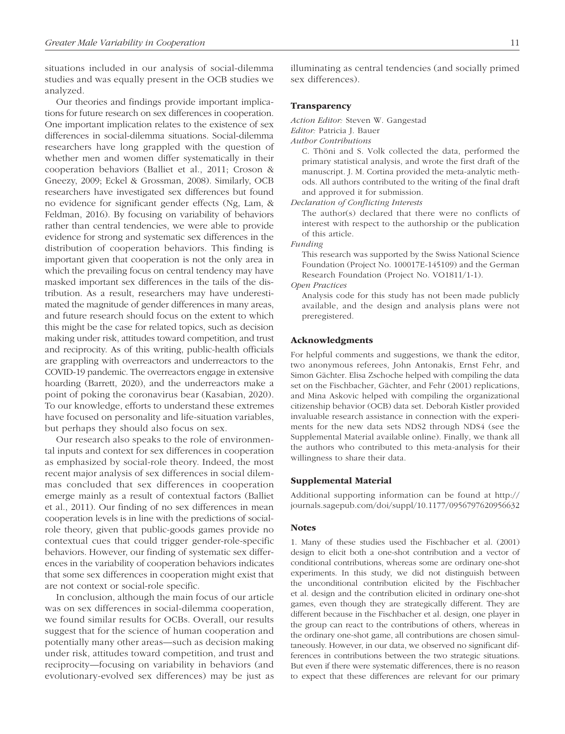situations included in our analysis of social-dilemma studies and was equally present in the OCB studies we analyzed.

Our theories and findings provide important implications for future research on sex differences in cooperation. One important implication relates to the existence of sex differences in social-dilemma situations. Social-dilemma researchers have long grappled with the question of whether men and women differ systematically in their cooperation behaviors (Balliet et al., 2011; Croson & Gneezy, 2009; Eckel & Grossman, 2008). Similarly, OCB researchers have investigated sex differences but found no evidence for significant gender effects (Ng, Lam, & Feldman, 2016). By focusing on variability of behaviors rather than central tendencies, we were able to provide evidence for strong and systematic sex differences in the distribution of cooperation behaviors. This finding is important given that cooperation is not the only area in which the prevailing focus on central tendency may have masked important sex differences in the tails of the distribution. As a result, researchers may have underestimated the magnitude of gender differences in many areas, and future research should focus on the extent to which this might be the case for related topics, such as decision making under risk, attitudes toward competition, and trust and reciprocity. As of this writing, public-health officials are grappling with overreactors and underreactors to the COVID-19 pandemic. The overreactors engage in extensive hoarding (Barrett, 2020), and the underreactors make a point of poking the coronavirus bear (Kasabian, 2020). To our knowledge, efforts to understand these extremes have focused on personality and life-situation variables, but perhaps they should also focus on sex.

Our research also speaks to the role of environmental inputs and context for sex differences in cooperation as emphasized by social-role theory. Indeed, the most recent major analysis of sex differences in social dilemmas concluded that sex differences in cooperation emerge mainly as a result of contextual factors (Balliet et al., 2011). Our finding of no sex differences in mean cooperation levels is in line with the predictions of socialrole theory, given that public-goods games provide no contextual cues that could trigger gender-role-specific behaviors. However, our finding of systematic sex differences in the variability of cooperation behaviors indicates that some sex differences in cooperation might exist that are not context or social-role specific.

In conclusion, although the main focus of our article was on sex differences in social-dilemma cooperation, we found similar results for OCBs. Overall, our results suggest that for the science of human cooperation and potentially many other areas—such as decision making under risk, attitudes toward competition, and trust and reciprocity—focusing on variability in behaviors (and evolutionary-evolved sex differences) may be just as

illuminating as central tendencies (and socially primed sex differences).

### Transparency

*Action Editor:* Steven W. Gangestad

*Editor:* Patricia J. Bauer

*Author Contributions*

C. Thöni and S. Volk collected the data, performed the primary statistical analysis, and wrote the first draft of the manuscript. J. M. Cortina provided the meta-analytic methods. All authors contributed to the writing of the final draft and approved it for submission.

*Declaration of Conflicting Interests*

The author(s) declared that there were no conflicts of interest with respect to the authorship or the publication of this article.

*Funding*

This research was supported by the Swiss National Science Foundation (Project No. 100017E-145109) and the German Research Foundation (Project No. VO1811/1-1).

*Open Practices*

Analysis code for this study has not been made publicly available, and the design and analysis plans were not preregistered.

#### Acknowledgments

For helpful comments and suggestions, we thank the editor, two anonymous referees, John Antonakis, Ernst Fehr, and Simon Gächter. Elisa Zschoche helped with compiling the data set on the Fischbacher, Gächter, and Fehr (2001) replications, and Mina Askovic helped with compiling the organizational citizenship behavior (OCB) data set. Deborah Kistler provided invaluable research assistance in connection with the experiments for the new data sets NDS2 through NDS4 (see the Supplemental Material available online). Finally, we thank all the authors who contributed to this meta-analysis for their willingness to share their data.

#### Supplemental Material

Additional supporting information can be found at [http://](http://journals.sagepub.com/doi/suppl/10.1177/0956797620956632) [journals.sagepub.com/doi/suppl/10.1177/0956797620956632](http://journals.sagepub.com/doi/suppl/10.1177/0956797620956632)

#### **Notes**

1. Many of these studies used the Fischbacher et al. (2001) design to elicit both a one-shot contribution and a vector of conditional contributions, whereas some are ordinary one-shot experiments. In this study, we did not distinguish between the unconditional contribution elicited by the Fischbacher et al. design and the contribution elicited in ordinary one-shot games, even though they are strategically different. They are different because in the Fischbacher et al. design, one player in the group can react to the contributions of others, whereas in the ordinary one-shot game, all contributions are chosen simultaneously. However, in our data, we observed no significant differences in contributions between the two strategic situations. But even if there were systematic differences, there is no reason to expect that these differences are relevant for our primary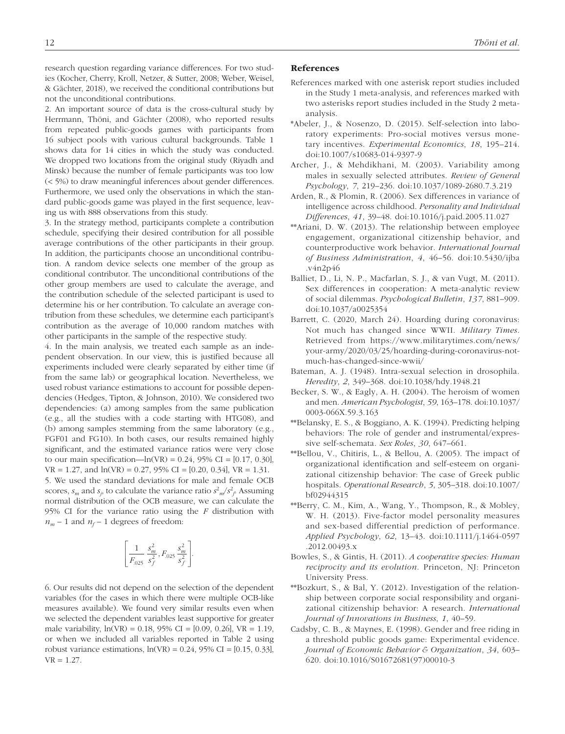research question regarding variance differences. For two studies (Kocher, Cherry, Kroll, Netzer, & Sutter, 2008; Weber, Weisel, & Gächter, 2018), we received the conditional contributions but not the unconditional contributions.

2. An important source of data is the cross-cultural study by Herrmann, Thöni, and Gächter (2008), who reported results from repeated public-goods games with participants from 16 subject pools with various cultural backgrounds. Table 1 shows data for 14 cities in which the study was conducted. We dropped two locations from the original study (Riyadh and Minsk) because the number of female participants was too low (< 5%) to draw meaningful inferences about gender differences. Furthermore, we used only the observations in which the standard public-goods game was played in the first sequence, leaving us with 888 observations from this study.

3. In the strategy method, participants complete a contribution schedule, specifying their desired contribution for all possible average contributions of the other participants in their group. In addition, the participants choose an unconditional contribution. A random device selects one member of the group as conditional contributor. The unconditional contributions of the other group members are used to calculate the average, and the contribution schedule of the selected participant is used to determine his or her contribution. To calculate an average contribution from these schedules, we determine each participant's contribution as the average of 10,000 random matches with other participants in the sample of the respective study.

4. In the main analysis, we treated each sample as an independent observation. In our view, this is justified because all experiments included were clearly separated by either time (if from the same lab) or geographical location. Nevertheless, we used robust variance estimations to account for possible dependencies (Hedges, Tipton, & Johnson, 2010). We considered two dependencies: (a) among samples from the same publication (e.g., all the studies with a code starting with HTG08), and (b) among samples stemming from the same laboratory (e.g., FGF01 and FG10). In both cases, our results remained highly significant, and the estimated variance ratios were very close to our main specification—ln(VR) =  $0.24$ , 95% CI =  $[0.17, 0.30]$ ,  $VR = 1.27$ , and  $ln(VR) = 0.27$ , 95% CI = [0.20, 0.34], VR = 1.31. 5. We used the standard deviations for male and female OCB scores,  $s_m$  and  $s_j$ , to calculate the variance ratio  $s_m^2/s_f^2$ . Assuming normal distribution of the OCB measure, we can calculate the 95% CI for the variance ratio using the *F* distribution with  $n_m - 1$  and  $n_f - 1$  degrees of freedom:

$$
\left[\frac{1}{F_{.025}}\frac{s_m^2}{s_f^2}, F_{.025}\frac{s_m^2}{s_f^2}\right].
$$

6. Our results did not depend on the selection of the dependent variables (for the cases in which there were multiple OCB-like measures available). We found very similar results even when we selected the dependent variables least supportive for greater male variability,  $ln(VR) = 0.18$ , 95% CI = [0.09, 0.26], VR = 1.19, or when we included all variables reported in Table 2 using robust variance estimations,  $ln(VR) = 0.24$ , 95% CI = [0.15, 0.33],  $VR = 1.27.$ 

#### **References**

- References marked with one asterisk report studies included in the Study 1 meta-analysis, and references marked with two asterisks report studies included in the Study 2 metaanalysis.
- \*Abeler, J., & Nosenzo, D. (2015). Self-selection into laboratory experiments: Pro-social motives versus monetary incentives. *Experimental Economics*, *18*, 195–214. doi:10.1007/s10683-014-9397-9
- Archer, J., & Mehdikhani, M. (2003). Variability among males in sexually selected attributes. *Review of General Psychology*, *7*, 219–236. doi:10.1037/1089-2680.7.3.219
- Arden, R., & Plomin, R. (2006). Sex differences in variance of intelligence across childhood. *Personality and Individual Differences*, *41*, 39–48. doi:10.1016/j.paid.2005.11.027
- \*\*Ariani, D. W. (2013). The relationship between employee engagement, organizational citizenship behavior, and counterproductive work behavior. *International Journal of Business Administration*, *4*, 46–56. doi:10.5430/ijba .v4n2p46
- Balliet, D., Li, N. P., Macfarlan, S. J., & van Vugt, M. (2011). Sex differences in cooperation: A meta-analytic review of social dilemmas. *Psychological Bulletin*, *137*, 881–909. doi:10.1037/a0025354
- Barrett, C. (2020, March 24). Hoarding during coronavirus: Not much has changed since WWII. *Military Times*. Retrieved from [https://www.militarytimes.com/news/](https://www.militarytimes.com/news/your-army/2020/03/25/hoarding-during-coronavirus-not-much-has-changed-since-wwii/) [your-army/2020/03/25/hoarding-during-coronavirus-not](https://www.militarytimes.com/news/your-army/2020/03/25/hoarding-during-coronavirus-not-much-has-changed-since-wwii/)[much-has-changed-since-wwii/](https://www.militarytimes.com/news/your-army/2020/03/25/hoarding-during-coronavirus-not-much-has-changed-since-wwii/)
- Bateman, A. J. (1948). Intra-sexual selection in drosophila. *Heredity*, *2*, 349–368. doi:10.1038/hdy.1948.21
- Becker, S. W., & Eagly, A. H. (2004). The heroism of women and men. *American Psychologist*, *59*, 163–178. doi:10.1037/ 0003-066X.59.3.163
- \*\*Belansky, E. S., & Boggiano, A. K. (1994). Predicting helping behaviors: The role of gender and instrumental/expressive self-schemata. *Sex Roles*, *30*, 647–661.
- \*\*Bellou, V., Chitiris, L., & Bellou, A. (2005). The impact of organizational identification and self-esteem on organizational citizenship behavior: The case of Greek public hospitals. *Operational Research*, *5*, 305–318. doi:10.1007/ bf02944315
- \*\*Berry, C. M., Kim, A., Wang, Y., Thompson, R., & Mobley, W. H. (2013). Five-factor model personality measures and sex-based differential prediction of performance. *Applied Psychology*, *62*, 13–43. doi:10.1111/j.1464-0597 .2012.00493.x
- Bowles, S., & Gintis, H. (2011). *A cooperative species: Human reciprocity and its evolution*. Princeton, NJ: Princeton University Press.
- \*\*Bozkurt, S., & Bal, Y. (2012). Investigation of the relationship between corporate social responsibility and organizational citizenship behavior: A research. *International Journal of Innovations in Business*, *1*, 40–59.
- Cadsby, C. B., & Maynes, E. (1998). Gender and free riding in a threshold public goods game: Experimental evidence. *Journal of Economic Behavior & Organization*, *34*, 603– 620. doi:10.1016/S01672681(97)00010-3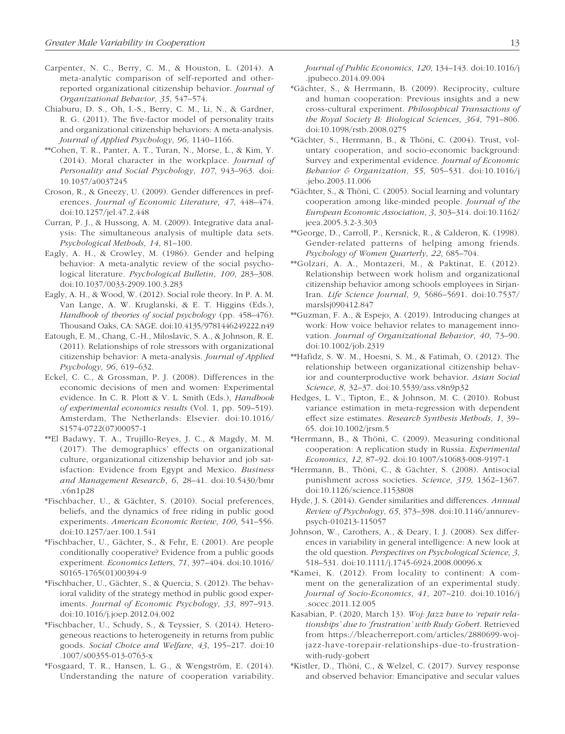- Carpenter, N. C., Berry, C. M., & Houston, L. (2014). A meta-analytic comparison of self-reported and otherreported organizational citizenship behavior. *Journal of Organizational Behavior*, *35*, 547–574.
- Chiaburu, D. S., Oh, I.-S., Berry, C. M., Li, N., & Gardner, R. G. (2011). The five-factor model of personality traits and organizational citizenship behaviors: A meta-analysis. *Journal of Applied Psychology*, *96*, 1140–1166.
- \*\*Cohen, T. R., Panter, A. T., Turan, N., Morse, L., & Kim, Y. (2014). Moral character in the workplace. *Journal of Personality and Social Psychology*, *107*, 943–963. doi: 10.1037/a0037245
- Croson, R., & Gneezy, U. (2009). Gender differences in preferences. *Journal of Economic Literature*, *47*, 448–474. doi:10.1257/jel.47.2.448
- Curran, P. J., & Hussong, A. M. (2009). Integrative data analysis: The simultaneous analysis of multiple data sets. *Psychological Methods*, *14*, 81–100.
- Eagly, A. H., & Crowley, M. (1986). Gender and helping behavior: A meta-analytic review of the social psychological literature. *Psychological Bulletin*, *100*, 283–308. doi:10.1037/0033-2909.100.3.283
- Eagly, A. H., & Wood, W. (2012). Social role theory. In P. A. M. Van Lange, A. W. Kruglanski, & E. T. Higgins (Eds.), *Handbook of theories of social psychology* (pp. 458–476). Thousand Oaks, CA: SAGE. doi:10.4135/9781446249222.n49
- Eatough, E. M., Chang, C.-H., Miloslavic, S. A., & Johnson, R. E. (2011). Relationships of role stressors with organizational citizenship behavior: A meta-analysis. *Journal of Applied Psychology*, *96*, 619–632.
- Eckel, C. C., & Grossman, P. J. (2008). Differences in the economic decisions of men and women: Experimental evidence. In C. R. Plott & V. L. Smith (Eds.), *Handbook of experimental economics results* (Vol. 1, pp. 509–519). Amsterdam, The Netherlands: Elsevier. doi:10.1016/ S1574-0722(07)00057-1
- \*\*El Badawy, T. A., Trujillo-Reyes, J. C., & Magdy, M. M. (2017). The demographics' effects on organizational culture, organizational citizenship behavior and job satisfaction: Evidence from Egypt and Mexico. *Business and Management Research*, *6*, 28–41. doi:10.5430/bmr .v6n1p28
- \*Fischbacher, U., & Gächter, S. (2010). Social preferences, beliefs, and the dynamics of free riding in public good experiments. *American Economic Review*, *100*, 541–556. doi:10.1257/aer.100.1.541
- \*Fischbacher, U., Gächter, S., & Fehr, E. (2001). Are people conditionally cooperative? Evidence from a public goods experiment. *Economics Letters*, *71*, 397–404. doi:10.1016/ S0165-1765(01)00394-9
- \*Fischbacher, U., Gächter, S., & Quercia, S. (2012). The behavioral validity of the strategy method in public good experiments. *Journal of Economic Psychology*, *33*, 897–913. doi:10.1016/j.joep.2012.04.002
- \*Fischbacher, U., Schudy, S., & Teyssier, S. (2014). Heterogeneous reactions to heterogeneity in returns from public goods. *Social Choice and Welfare*, *43*, 195–217. doi:10 .1007/s00355-013-0763-x
- \*Fosgaard, T. R., Hansen, L. G., & Wengström, E. (2014). Understanding the nature of cooperation variability.

*Journal of Public Economics*, *120*, 134–143. doi:10.1016/j .jpubeco.2014.09.004

- \*Gächter, S., & Herrmann, B. (2009). Reciprocity, culture and human cooperation: Previous insights and a new cross-cultural experiment. *Philosophical Transactions of the Royal Society B: Biological Sciences*, *364*, 791–806. doi:10.1098/rstb.2008.0275
- \*Gächter, S., Herrmann, B., & Thöni, C. (2004). Trust, voluntary cooperation, and socio-economic background: Survey and experimental evidence. *Journal of Economic Behavior & Organization*, *55*, 505–531. doi:10.1016/j .jebo.2003.11.006
- \*Gächter, S., & Thöni, C. (2005). Social learning and voluntary cooperation among like-minded people. *Journal of the European Economic Association*, *3*, 303–314. doi:10.1162/ jeea.2005.3.2-3.303
- \*\*George, D., Carroll, P., Kersnick, R., & Calderon, K. (1998). Gender-related patterns of helping among friends. *Psychology of Women Quarterly*, *22*, 685–704.
- \*\*Golzari, A. A., Montazeri, M., & Paktinat, E. (2012). Relationship between work holism and organizational citizenship behavior among schools employees in Sirjan-Iran. *Life Science Journal*, *9*, 5686–5691. doi:10.7537/ marslsj090412.847
- \*\*Guzman, F. A., & Espejo, A. (2019). Introducing changes at work: How voice behavior relates to management innovation. *Journal of Organizational Behavior*, *40*, 73–90. doi:10.1002/job.2319
- \*\*Hafidz, S. W. M., Hoesni, S. M., & Fatimah, O. (2012). The relationship between organizational citizenship behavior and counterproductive work behavior. *Asian Social Science*, *8*, 32–37. doi:10.5539/ass.v8n9p32
- Hedges, L. V., Tipton, E., & Johnson, M. C. (2010). Robust variance estimation in meta-regression with dependent effect size estimates. *Research Synthesis Methods*, *1*, 39– 65. doi:10.1002/jrsm.5
- \*Herrmann, B., & Thöni, C. (2009). Measuring conditional cooperation: A replication study in Russia. *Experimental Economics*, *12*, 87–92. doi:10.1007/s10683-008-9197-1
- \*Herrmann, B., Thöni, C., & Gächter, S. (2008). Antisocial punishment across societies. *Science*, *319*, 1362–1367. doi:10.1126/science.1153808
- Hyde, J. S. (2014). Gender similarities and differences. *Annual Review of Psychology*, *65*, 373–398. doi:10.1146/annurevpsych-010213-115057
- Johnson, W., Carothers, A., & Deary, I. J. (2008). Sex differences in variability in general intelligence: A new look at the old question. *Perspectives on Psychological Science*, *3*, 518–531. doi:10.1111/j.1745-6924.2008.00096.x
- \*Kamei, K. (2012). From locality to continent: A comment on the generalization of an experimental study. *Journal of Socio-Economics*, *41*, 207–210. doi:10.1016/j .socec.2011.12.005
- Kasabian, P. (2020, March 13). *Woj: Jazz have to 'repair relationships' due to 'frustration' with Rudy Gobert*. Retrieved from [https://bleacherreport.com/articles/2880699-woj](https://bleacherreport.com/articles/2880699-woj-jazz-have-torepair-relationships-due-to-frustration-with-rudy-gobert)[jazz-have-torepair-relationships-due-to-frustration](https://bleacherreport.com/articles/2880699-woj-jazz-have-torepair-relationships-due-to-frustration-with-rudy-gobert)[with-rudy-gobert](https://bleacherreport.com/articles/2880699-woj-jazz-have-torepair-relationships-due-to-frustration-with-rudy-gobert)
- \*Kistler, D., Thöni, C., & Welzel, C. (2017). Survey response and observed behavior: Emancipative and secular values